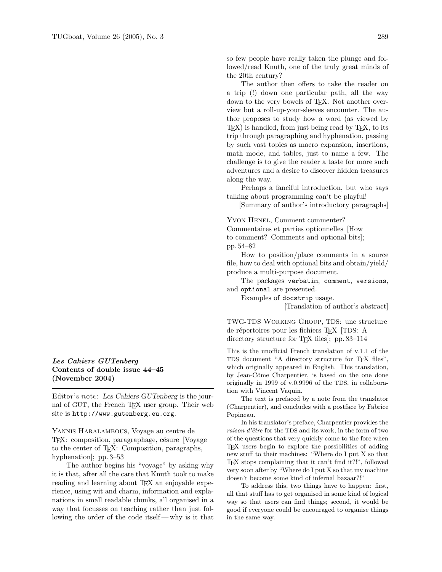## Les Cahiers GUTenberg Contents of double issue 44–45 (November 2004)

Editor's note: Les Cahiers GUTenberg is the journal of GUT, the French TEX user group. Their web site is http://www.gutenberg.eu.org.

Yannis Haralambous, Voyage au centre de TEX: composition, paragraphage, césure [Voyage] to the center of TEX: Composition, paragraphs, hyphenation]; pp. 3–53

The author begins his "voyage" by asking why it is that, after all the care that Knuth took to make reading and learning about T<sub>EX</sub> an enjoyable experience, using wit and charm, information and explanations in small readable chunks, all organised in a way that focusses on teaching rather than just following the order of the code itself — why is it that

so few people have really taken the plunge and followed/read Knuth, one of the truly great minds of the 20th century?

The author then offers to take the reader on a trip (!) down one particular path, all the way down to the very bowels of TEX. Not another overview but a roll-up-your-sleeves encounter. The author proposes to study how a word (as viewed by TEX) is handled, from just being read by TEX, to its trip through paragraphing and hyphenation, passing by such vast topics as macro expansion, insertions, math mode, and tables, just to name a few. The challenge is to give the reader a taste for more such adventures and a desire to discover hidden treasures along the way.

Perhaps a fanciful introduction, but who says talking about programming can't be playful!

[Summary of author's introductory paragraphs]

YVON HENEL, Comment commenter?

Commentaires et parties optionnelles [How to comment? Comments and optional bits]; pp. 54–82

How to position/place comments in a source file, how to deal with optional bits and obtain/yield/ produce a multi-purpose document.

The packages verbatim, comment, versions, and optional are presented.

Examples of docstrip usage.

[Translation of author's abstract]

TWG-TDS Working Group, TDS: une structure de répertoires pour les fichiers TEX [TDS: A directory structure for T<sub>EX</sub> files. pp. 83–114

This is the unofficial French translation of v.1.1 of the TDS document "A directory structure for T<sub>E</sub>X files", which originally appeared in English. This translation, by Jean-Côme Charpentier, is based on the one done originally in 1999 of v.0.9996 of the TDS, in collaboration with Vincent Vaquin.

The text is prefaced by a note from the translator (Charpentier), and concludes with a postface by Fabrice Popineau.

In his translator's preface, Charpentier provides the raison d'être for the TDS and its work, in the form of two of the questions that very quickly come to the fore when TEX users begin to explore the possibilities of adding new stuff to their machines: "Where do I put X so that TEX stops complaining that it can't find it?!", followed very soon after by "Where do I put X so that my machine doesn't become some kind of infernal bazaar?!"

To address this, two things have to happen: first, all that stuff has to get organised in some kind of logical way so that users can find things; second, it would be good if everyone could be encouraged to organise things in the same way.